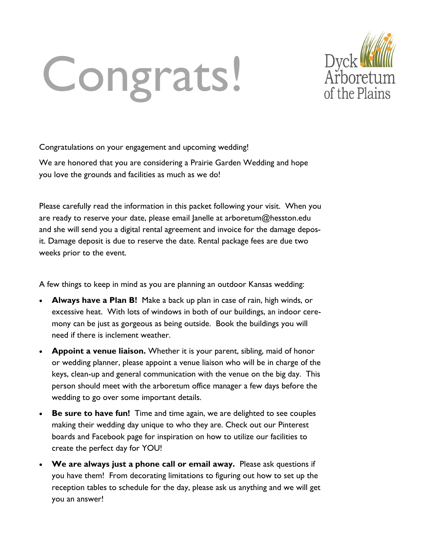# Congrats!



Congratulations on your engagement and upcoming wedding!

We are honored that you are considering a Prairie Garden Wedding and hope you love the grounds and facilities as much as we do!

Please carefully read the information in this packet following your visit. When you are ready to reserve your date, please email Janelle at arboretum@hesston.edu and she will send you a digital rental agreement and invoice for the damage deposit. Damage deposit is due to reserve the date. Rental package fees are due two weeks prior to the event.

A few things to keep in mind as you are planning an outdoor Kansas wedding:

- **Always have a Plan B!** Make a back up plan in case of rain, high winds, or excessive heat. With lots of windows in both of our buildings, an indoor ceremony can be just as gorgeous as being outside. Book the buildings you will need if there is inclement weather.
- **Appoint a venue liaison.** Whether it is your parent, sibling, maid of honor or wedding planner, please appoint a venue liaison who will be in charge of the keys, clean-up and general communication with the venue on the big day. This person should meet with the arboretum office manager a few days before the wedding to go over some important details.
- **Be sure to have fun!** Time and time again, we are delighted to see couples making their wedding day unique to who they are. Check out our Pinterest boards and Facebook page for inspiration on how to utilize our facilities to create the perfect day for YOU!
- **We are always just a phone call or email away.** Please ask questions if you have them! From decorating limitations to figuring out how to set up the reception tables to schedule for the day, please ask us anything and we will get you an answer!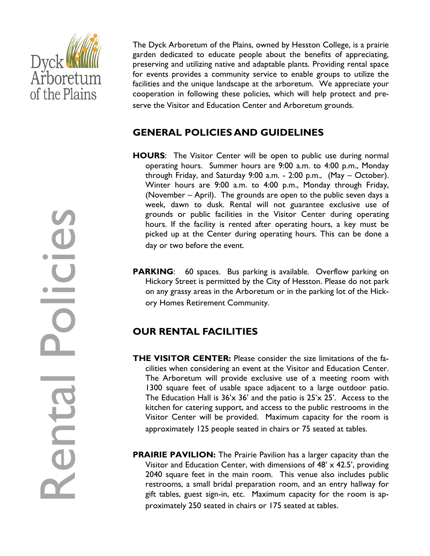

The Dyck Arboretum of the Plains, owned by Hesston College, is a prairie garden dedicated to educate people about the benefits of appreciating, preserving and utilizing native and adaptable plants. Providing rental space for events provides a community service to enable groups to utilize the facilities and the unique landscape at the arboretum. We appreciate your cooperation in following these policies, which will help protect and preserve the Visitor and Education Center and Arboretum grounds.

# **GENERAL POLICIES AND GUIDELINES**

- **HOURS**: The Visitor Center will be open to public use during normal operating hours. Summer hours are 9:00 a.m. to 4:00 p.m., Monday through Friday, and Saturday 9:00 a.m. - 2:00 p.m., (May – October). Winter hours are 9:00 a.m. to 4:00 p.m., Monday through Friday, (November – April). The grounds are open to the public seven days a week, dawn to dusk. Rental will not guarantee exclusive use of grounds or public facilities in the Visitor Center during operating hours. If the facility is rented after operating hours, a key must be picked up at the Center during operating hours. This can be done a day or two before the event.
- **PARKING:** 60 spaces. Bus parking is available. Overflow parking on Hickory Street is permitted by the City of Hesston. Please do not park on any grassy areas in the Arboretum or in the parking lot of the Hickory Homes Retirement Community.

# **OUR RENTAL FACILITIES**

- **THE VISITOR CENTER:** Please consider the size limitations of the facilities when considering an event at the Visitor and Education Center. The Arboretum will provide exclusive use of a meeting room with 1300 square feet of usable space adjacent to a large outdoor patio. The Education Hall is  $36'x$   $36'$  and the patio is  $25'x$   $25'$ . Access to the kitchen for catering support, and access to the public restrooms in the Visitor Center will be provided. Maximum capacity for the room is approximately 125 people seated in chairs or 75 seated at tables.
- **PRAIRIE PAVILION:** The Prairie Pavilion has a larger capacity than the Visitor and Education Center, with dimensions of  $48' \times 42.5'$ , providing 2040 square feet in the main room. This venue also includes public restrooms, a small bridal preparation room, and an entry hallway for gift tables, guest sign-in, etc. Maximum capacity for the room is approximately 250 seated in chairs or 175 seated at tables.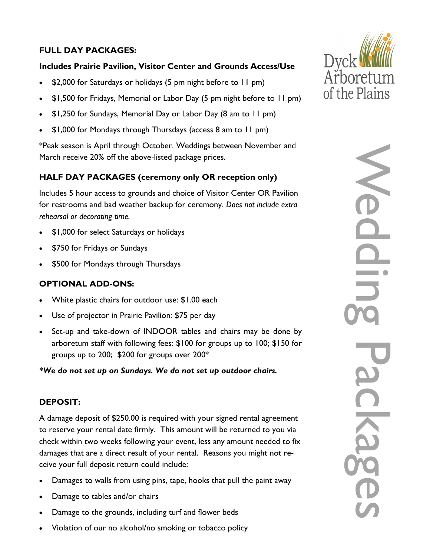# **FULL DAY PACKAGES:**

#### **Includes Prairie Pavilion, Visitor Center and Grounds Access/Use**

- \$2,000 for Saturdays or holidays (5 pm night before to 11 pm)
- \$1,500 for Fridays, Memorial or Labor Day (5 pm night before to 11 pm)
- \$1,250 for Sundays, Memorial Day or Labor Day (8 am to 11 pm)
- \$1,000 for Mondays through Thursdays (access 8 am to 11 pm)

\*Peak season is April through October. Weddings between November and March receive 20% off the above-listed package prices.

# **HALF DAY PACKAGES (ceremony only OR reception only)**

Includes 5 hour access to grounds and choice of Visitor Center OR Pavilion for restrooms and bad weather backup for ceremony. *Does not include extra rehearsal or decorating time.* 

- \$1,000 for select Saturdays or holidays
- \$750 for Fridays or Sundays
- \$500 for Mondays through Thursdays

### **OPTIONAL ADD-ONS:**

- White plastic chairs for outdoor use: \$1.00 each
- Use of projector in Prairie Pavilion: \$75 per day
- Set-up and take-down of INDOOR tables and chairs may be done by arboretum staff with following fees: \$100 for groups up to 100; \$150 for groups up to 200; \$200 for groups over  $200^*$

*\*We do not set up on Sundays. We do not set up outdoor chairs.*

### **DEPOSIT:**

A damage deposit of \$250.00 is required with your signed rental agreement to reserve your rental date firmly. This amount will be returned to you via check within two weeks following your event, less any amount needed to fix damages that are a direct result of your rental. Reasons you might not receive your full deposit return could include:

- Damages to walls from using pins, tape, hooks that pull the paint away
- Damage to tables and/or chairs
- Damage to the grounds, including turf and flower beds
- Violation of our no alcohol/no smoking or tobacco policy



Wedding Packages

**ISO** 

Ne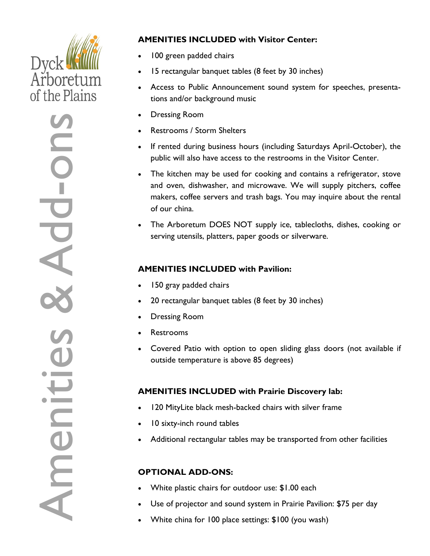# **Dyck!** Arboretum of the Plains

-ons Amenities & Add Ad ii  $\mathbf{\subseteq}$ **Ame** 

# **AMENITIES INCLUDED with Visitor Center:**

- 100 green padded chairs
- 15 rectangular banquet tables (8 feet by 30 inches)
- Access to Public Announcement sound system for speeches, presentations and/or background music
- Dressing Room
- Restrooms / Storm Shelters
- If rented during business hours (including Saturdays April-October), the public will also have access to the restrooms in the Visitor Center.
- The kitchen may be used for cooking and contains a refrigerator, stove and oven, dishwasher, and microwave. We will supply pitchers, coffee makers, coffee servers and trash bags. You may inquire about the rental of our china.
- The Arboretum DOES NOT supply ice, tablecloths, dishes, cooking or serving utensils, platters, paper goods or silverware.

# **AMENITIES INCLUDED with Pavilion:**

- 150 gray padded chairs
- 20 rectangular banquet tables (8 feet by 30 inches)
- Dressing Room
- Restrooms
- Covered Patio with option to open sliding glass doors (not available if outside temperature is above 85 degrees)

# **AMENITIES INCLUDED with Prairie Discovery lab:**

- 120 MityLite black mesh-backed chairs with silver frame
- 10 sixty-inch round tables
- Additional rectangular tables may be transported from other facilities

# **OPTIONAL ADD-ONS:**

- White plastic chairs for outdoor use: \$1.00 each
- Use of projector and sound system in Prairie Pavilion: \$75 per day
- White china for 100 place settings: \$100 (you wash)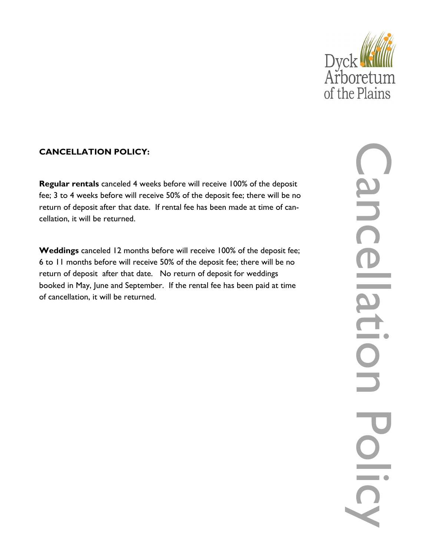

# **CANCELLATION POLICY:**

**Regular rentals** canceled 4 weeks before will receive 100% of the deposit fee; 3 to 4 weeks before will receive 50% of the deposit fee; there will be no return of deposit after that date. If rental fee has been made at time of cancellation, it will be returned.

**Weddings** canceled 12 months before will receive 100% of the deposit fee; 6 to 11 months before will receive 50% of the deposit fee; there will be no return of deposit after that date. No return of deposit for weddings booked in May, June and September. If the rental fee has been paid at time of cancellation, it will be returned.

Cancellation Policy j<br>D  $\bigcap$  $\overline{\phantom{a}}$  $\overline{\phantom{0}}$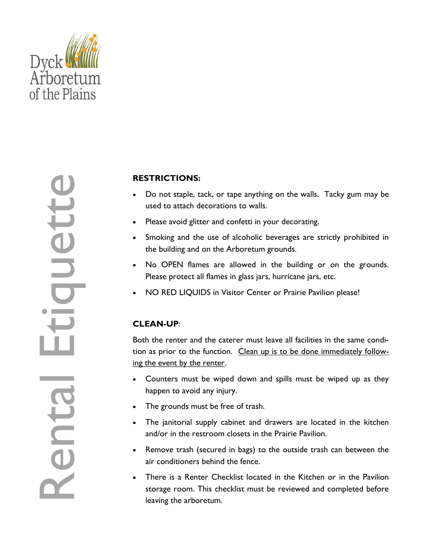

# **RESTRICTIONS:**

- Do not staple, tack, or tape anything on the walls. Tacky gum may be used to attach decorations to walls.
- Please avoid glitter and confetti in your decorating.
- Smoking and the use of alcoholic beverages are strictly prohibited in the building and on the Arboretum grounds.
- No OPEN flames are allowed in the building or on the grounds. Please protect all flames in glass jars, hurricane jars, etc.
- NO RED LIQUIDS in Visitor Center or Prairie Pavilion please!

# **CLEAN-UP**:

Both the renter and the caterer must leave all facilities in the same condition as prior to the function. Clean up is to be done immediately following the event by the renter.

- Counters must be wiped down and spills must be wiped up as they happen to avoid any injury.
- The grounds must be free of trash.
- The janitorial supply cabinet and drawers are located in the kitchen and/or in the restroom closets in the Prairie Pavilion.
- Remove trash (secured in bags) to the outside trash can between the air conditioners behind the fence.
- There is a Renter Checklist located in the Kitchen or in the Pavilion storage room. This checklist must be reviewed and completed before leaving the arboretum.